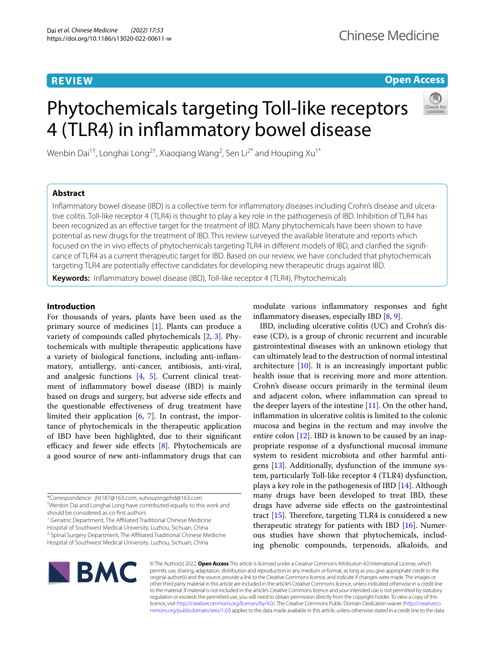## **REVIEW**

## **Open Access**

# Phytochemicals targeting Toll-like receptors 4 (TLR4) in infammatory bowel disease



Wenbin Dai $^{1\dagger}$ , Longhai Long $^{2\dagger}$ , Xiaoqiang Wang $^2$ , Sen Li $^{2^\ast}$  and Houping Xu $^{1^\ast}$ 

## **Abstract**

Infammatory bowel disease (IBD) is a collective term for infammatory diseases including Crohn's disease and ulcerative colitis. Toll-like receptor 4 (TLR4) is thought to play a key role in the pathogenesis of IBD. Inhibition of TLR4 has been recognized as an efective target for the treatment of IBD. Many phytochemicals have been shown to have potential as new drugs for the treatment of IBD. This review surveyed the available literature and reports which focused on the in vivo efects of phytochemicals targeting TLR4 in diferent models of IBD, and clarifed the signifcance of TLR4 as a current therapeutic target for IBD. Based on our review, we have concluded that phytochemicals targeting TLR4 are potentially efective candidates for developing new therapeutic drugs against IBD.

**Keywords:** Infammatory bowel disease (IBD), Toll-like receptor 4 (TLR4), Phytochemicals

## **Introduction**

For thousands of years, plants have been used as the primary source of medicines [[1\]](#page-7-0). Plants can produce a variety of compounds called phytochemicals [[2,](#page-7-1) [3](#page-7-2)]. Phytochemicals with multiple therapeutic applications have a variety of biological functions, including anti-infammatory, antiallergy, anti-cancer, antibiosis, anti-viral, and analgesic functions [\[4,](#page-7-3) [5\]](#page-7-4). Current clinical treatment of infammatory bowel disease (IBD) is mainly based on drugs and surgery, but adverse side efects and the questionable efectiveness of drug treatment have limited their application  $[6, 7]$  $[6, 7]$  $[6, 7]$  $[6, 7]$ . In contrast, the importance of phytochemicals in the therapeutic application of IBD have been highlighted, due to their signifcant efficacy and fewer side effects  $[8]$ . Phytochemicals are a good source of new anti-infammatory drugs that can

should be considered as co-frst authors

<sup>1</sup> Geriatric Department, The Affiliated Traditional Chinese Medicine

Hospital of Southwest Medical University, Luzhou, Sichuan, China <sup>2</sup> Spinal Surgery Department, The Affiliated Traditional Chinese Medicine modulate various infammatory responses and fght infammatory diseases, especially IBD [\[8](#page-7-7), [9\]](#page-7-8).

IBD, including ulcerative colitis (UC) and Crohn's disease (CD), is a group of chronic recurrent and incurable gastrointestinal diseases with an unknown etiology that can ultimately lead to the destruction of normal intestinal architecture  $[10]$  $[10]$ . It is an increasingly important public health issue that is receiving more and more attention. Crohn's disease occurs primarily in the terminal ileum and adjacent colon, where infammation can spread to the deeper layers of the intestine  $[11]$  $[11]$ . On the other hand, infammation in ulcerative colitis is limited to the colonic mucosa and begins in the rectum and may involve the entire colon  $[12]$ . IBD is known to be caused by an inappropriate response of a dysfunctional mucosal immune system to resident microbiota and other harmful antigens [[13\]](#page-7-12). Additionally, dysfunction of the immune system, particularly Toll-like receptor 4 (TLR4) dysfunction, plays a key role in the pathogenesis of IBD [\[14](#page-7-13)]. Although many drugs have been developed to treat IBD, these drugs have adverse side efects on the gastrointestinal tract  $[15]$  $[15]$ . Therefore, targeting TLR4 is considered a new therapeutic strategy for patients with IBD  $[16]$  $[16]$ . Numerous studies have shown that phytochemicals, including phenolic compounds, terpenoids, alkaloids, and



© The Author(s) 2022. **Open Access** This article is licensed under a Creative Commons Attribution 4.0 International License, which permits use, sharing, adaptation, distribution and reproduction in any medium or format, as long as you give appropriate credit to the original author(s) and the source, provide a link to the Creative Commons licence, and indicate if changes were made. The images or other third party material in this article are included in the article's Creative Commons licence, unless indicated otherwise in a credit line to the material. If material is not included in the article's Creative Commons licence and your intended use is not permitted by statutory regulation or exceeds the permitted use, you will need to obtain permission directly from the copyright holder. To view a copy of this licence, visit [http://creativecommons.org/licenses/by/4.0/.](http://creativecommons.org/licenses/by/4.0/) The Creative Commons Public Domain Dedication waiver ([http://creativeco](http://creativecommons.org/publicdomain/zero/1.0/) [mmons.org/publicdomain/zero/1.0/](http://creativecommons.org/publicdomain/zero/1.0/)) applies to the data made available in this article, unless otherwise stated in a credit line to the data.

<sup>\*</sup>Correspondence: jht187@163.com; xuhoupingphd@163.com † Wenbin Dai and Longhai Long have contributed equally to this work and

Hospital of Southwest Medical University, Luzhou, Sichuan, China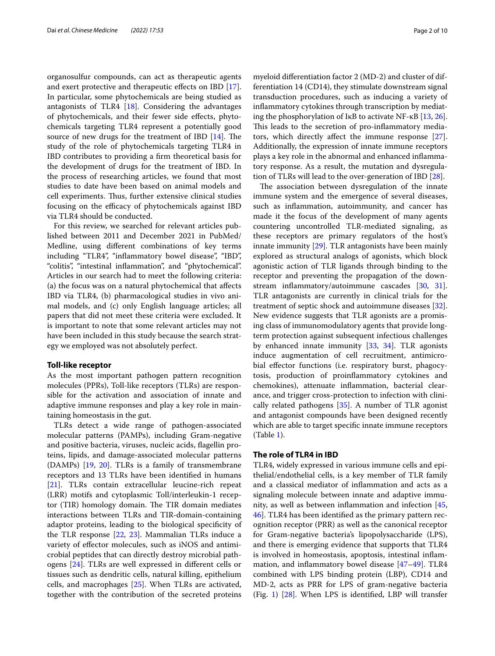organosulfur compounds, can act as therapeutic agents and exert protective and therapeutic efects on IBD [\[17](#page-7-16)]. In particular, some phytochemicals are being studied as antagonists of TLR4 [\[18](#page-7-17)]. Considering the advantages of phytochemicals, and their fewer side efects, phytochemicals targeting TLR4 represent a potentially good source of new drugs for the treatment of IBD  $[14]$  $[14]$ . The study of the role of phytochemicals targeting TLR4 in IBD contributes to providing a frm theoretical basis for the development of drugs for the treatment of IBD. In the process of researching articles, we found that most studies to date have been based on animal models and cell experiments. Thus, further extensive clinical studies focusing on the efficacy of phytochemicals against IBD via TLR4 should be conducted.

For this review, we searched for relevant articles published between 2011 and December 2021 in PubMed/ Medline, using diferent combinations of key terms including "TLR4", "infammatory bowel disease", "IBD", "colitis", "intestinal infammation", and "phytochemical". Articles in our search had to meet the following criteria: (a) the focus was on a natural phytochemical that afects IBD via TLR4, (b) pharmacological studies in vivo animal models, and (c) only English language articles; all papers that did not meet these criteria were excluded. It is important to note that some relevant articles may not have been included in this study because the search strategy we employed was not absolutely perfect.

#### **Toll‑like receptor**

As the most important pathogen pattern recognition molecules (PPRs), Toll-like receptors (TLRs) are responsible for the activation and association of innate and adaptive immune responses and play a key role in maintaining homeostasis in the gut.

TLRs detect a wide range of pathogen-associated molecular patterns (PAMPs), including Gram-negative and positive bacteria, viruses, nucleic acids, fagellin proteins, lipids, and damage-associated molecular patterns (DAMPs) [\[19,](#page-7-18) [20](#page-7-19)]. TLRs is a family of transmembrane receptors and 13 TLRs have been identifed in humans [[21\]](#page-7-20). TLRs contain extracellular leucine-rich repeat (LRR) motifs and cytoplasmic Toll/interleukin-1 receptor (TIR) homology domain. The TIR domain mediates interactions between TLRs and TIR-domain-containing adaptor proteins, leading to the biological specifcity of the TLR response [\[22](#page-7-21), [23](#page-7-22)]. Mammalian TLRs induce a variety of efector molecules, such as iNOS and antimicrobial peptides that can directly destroy microbial pathogens [[24\]](#page-7-23). TLRs are well expressed in diferent cells or tissues such as dendritic cells, natural killing, epithelium cells, and macrophages [[25\]](#page-7-24). When TLRs are activated, together with the contribution of the secreted proteins

myeloid diferentiation factor 2 (MD-2) and cluster of differentiation 14 (CD14), they stimulate downstream signal transduction procedures, such as inducing a variety of infammatory cytokines through transcription by mediating the phosphorylation of I $\kappa$ B to activate NF- $\kappa$ B [[13,](#page-7-12) [26](#page-7-25)]. This leads to the secretion of pro-inflammatory mediators, which directly afect the immune response [\[27](#page-7-26)]. Additionally, the expression of innate immune receptors plays a key role in the abnormal and enhanced infammatory response. As a result, the mutation and dysregulation of TLRs will lead to the over-generation of IBD [\[28\]](#page-7-27).

The association between dysregulation of the innate immune system and the emergence of several diseases, such as infammation, autoimmunity, and cancer has made it the focus of the development of many agents countering uncontrolled TLR-mediated signaling, as these receptors are primary regulators of the host's innate immunity [[29\]](#page-7-28). TLR antagonists have been mainly explored as structural analogs of agonists, which block agonistic action of TLR ligands through binding to the receptor and preventing the propagation of the down-stream inflammatory/autoimmune cascades [\[30](#page-7-29), [31](#page-7-30)]. TLR antagonists are currently in clinical trials for the treatment of septic shock and autoimmune diseases [\[32](#page-7-31)]. New evidence suggests that TLR agonists are a promising class of immunomodulatory agents that provide longterm protection against subsequent infectious challenges by enhanced innate immunity [[33,](#page-7-32) [34\]](#page-7-33). TLR agonists induce augmentation of cell recruitment, antimicrobial effector functions (i.e. respiratory burst, phagocytosis, production of proinfammatory cytokines and chemokines), attenuate infammation, bacterial clearance, and trigger cross-protection to infection with clinically related pathogens [\[35](#page-7-34)]. A number of TLR agonist and antagonist compounds have been designed recently which are able to target specifc innate immune receptors (Table [1\)](#page-2-0).

### **The role of TLR4 in IBD**

TLR4, widely expressed in various immune cells and epithelial/endothelial cells, is a key member of TLR family and a classical mediator of infammation and acts as a signaling molecule between innate and adaptive immunity, as well as between infammation and infection [[45](#page-7-35), [46\]](#page-7-36). TLR4 has been identifed as the primary pattern recognition receptor (PRR) as well as the canonical receptor for Gram-negative bacteria's lipopolysaccharide (LPS), and there is emerging evidence that supports that TLR4 is involved in homeostasis, apoptosis, intestinal infammation, and infammatory bowel disease [[47–](#page-7-37)[49\]](#page-8-0). TLR4 combined with LPS binding protein (LBP), CD14 and MD-2, acts as PRR for LPS of gram-negative bacteria (Fig. [1\)](#page-2-1) [\[28\]](#page-7-27). When LPS is identifed, LBP will transfer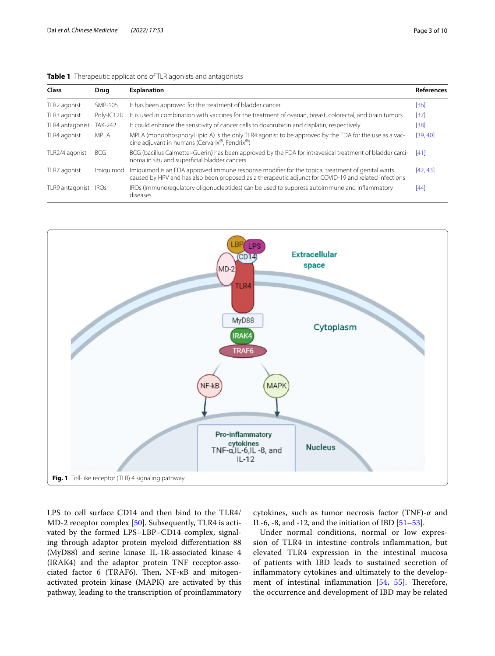<span id="page-2-0"></span>

|  | Table 1 Therapeutic applications of TLR agonists and antagonists |  |
|--|------------------------------------------------------------------|--|
|  |                                                                  |  |

| <b>Class</b>    | Drug        | <b>Explanation</b>                                                                                                                                                                                        | <b>References</b> |
|-----------------|-------------|-----------------------------------------------------------------------------------------------------------------------------------------------------------------------------------------------------------|-------------------|
| TLR2 agonist    | SMP-105     | It has been approved for the treatment of bladder cancer                                                                                                                                                  | [36]              |
| TLR3 agonist    | Poly-IC12U  | It is used in combination with vaccines for the treatment of ovarian, breast, colorectal, and brain tumors                                                                                                | $[37]$            |
| TLR4 antagonist | TAK-242     | It could enhance the sensitivity of cancer cells to doxorubicin and cisplatin, respectively                                                                                                               | [38]              |
| TLR4 agonist    | MPI A       | MPLA (monophosphoryl lipid A) is the only TLR4 agonist to be approved by the FDA for the use as a vac-<br>cine adjuvant in humans (Cervarix®, Fendrix®)                                                   | [39, 40]          |
| TLR2/4 agonist  | <b>BCG</b>  | BCG (bacillus Calmette–Guerin) has been approved by the FDA for intravesical treatment of bladder carci-<br>noma in situ and superficial bladder cancers                                                  | [41]              |
| TLR7 agonist    | Imiauimod   | Imiguimod is an FDA approved immune response modifier for the topical treatment of genital warts<br>caused by HPV and has also been proposed as a therapeutic adjunct for COVID-19 and related infections | [42, 43]          |
| TLR9 antagonist | <b>IROs</b> | IROs (immunoregulatory oligonucleotides) can be used to suppress autoimmune and inflammatory<br>diseases                                                                                                  | [44]              |



<span id="page-2-1"></span>LPS to cell surface CD14 and then bind to the TLR4/ MD-2 receptor complex [\[50](#page-8-1)]. Subsequently, TLR4 is activated by the formed LPS–LBP–CD14 complex, signaling through adaptor protein myeloid diferentiation 88 (MyD88) and serine kinase IL-1R-associated kinase 4 (IRAK4) and the adaptor protein TNF receptor-associated factor 6 (TRAF6). Then,  $NF-\kappa B$  and mitogenactivated protein kinase (MAPK) are activated by this pathway, leading to the transcription of proinfammatory cytokines, such as tumor necrosis factor (TNF)-α and IL-6, -8, and -12, and the initiation of IBD  $[51–53]$  $[51–53]$ .

Under normal conditions, normal or low expression of TLR4 in intestine controls infammation, but elevated TLR4 expression in the intestinal mucosa of patients with IBD leads to sustained secretion of infammatory cytokines and ultimately to the development of intestinal inflammation  $[54, 55]$  $[54, 55]$  $[54, 55]$  $[54, 55]$ . Therefore, the occurrence and development of IBD may be related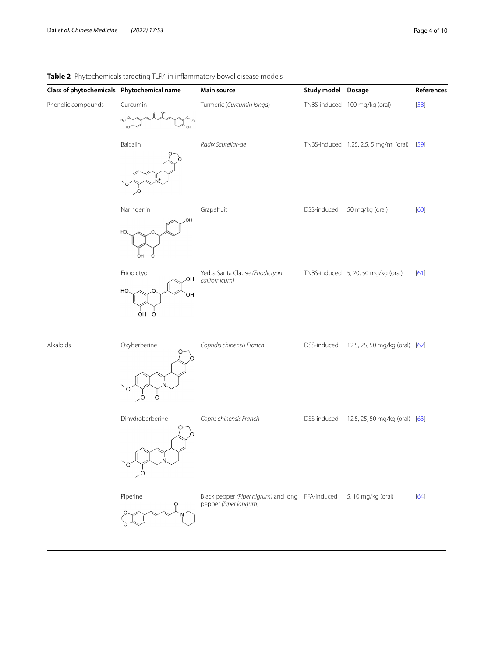## <span id="page-3-0"></span>**Table 2** Phytochemicals targeting TLR4 in infammatory bowel disease models

| Class of phytochemicals  Phytochemical name |                                           | Main source                                                               | Study model Dosage |                                        | References |
|---------------------------------------------|-------------------------------------------|---------------------------------------------------------------------------|--------------------|----------------------------------------|------------|
| Phenolic compounds                          | Curcumin<br>$H_2C$                        | Turmeric (Curcumin longa)                                                 |                    | TNBS-induced 100 mg/kg (oral)          | $[58]$     |
|                                             | Baicalin<br>.O                            | Radix Scutellar-ae                                                        |                    | TNBS-induced 1.25, 2.5, 5 mg/ml (oral) | $[59]$     |
|                                             | Naringenin<br>ΟН<br>HO.<br>OН             | Grapefruit                                                                | DSS-induced        | 50 mg/kg (oral)                        | [60]       |
|                                             | Eriodictyol<br>.OH<br>HO<br>OH<br>OH<br>O | Yerba Santa Clause (Eriodictyon<br>californicum)                          |                    | TNBS-induced 5, 20, 50 mg/kg (oral)    | $[61]$     |
| Alkaloids                                   | Oxyberberine<br>O<br>O.                   | Coptidis chinensis Franch                                                 | DSS-induced        | 12.5, 25, 50 mg/kg (oral) [62]         |            |
|                                             | Dihydroberberine<br>O                     | Coptis chinensis Franch                                                   | DSS-induced        | 12.5, 25, 50 mg/kg (oral) [63]         |            |
|                                             | Piperine                                  | Black pepper (Piper nigrum) and long FFA-induced<br>pepper (Piper longum) |                    | 5, 10 mg/kg (oral)                     | $[64]$     |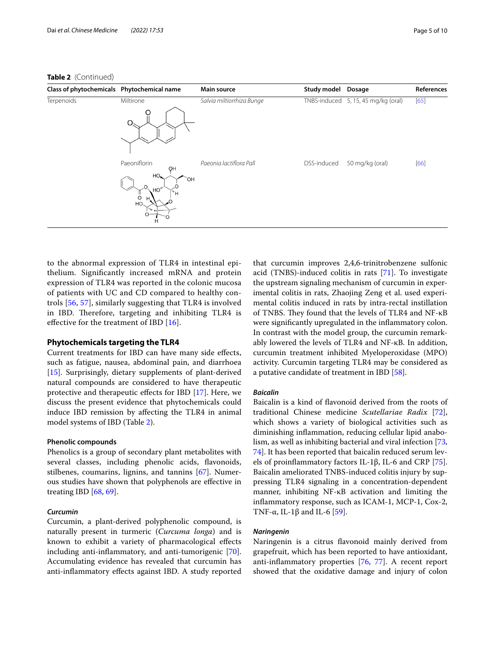| Class of phytochemicals Phytochemical name |                                                                                                 | Main source               | Study model | <b>Dosage</b>                       | References |
|--------------------------------------------|-------------------------------------------------------------------------------------------------|---------------------------|-------------|-------------------------------------|------------|
| Terpenoids                                 | Miltirone                                                                                       | Salvia miltiorrhiza Bunge |             | TNBS-induced 5, 15, 45 mg/kg (oral) | [65]       |
|                                            | Paeoniflorin<br>OH<br>HO<br>OH.<br>HO<br>Ή<br>O<br>HO <sub>3</sub><br>مستران فت<br>$\circ$<br>Н | Paeonia lactiflora Pall   | DSS-induced | 50 mg/kg (oral)                     | [66]       |

to the abnormal expression of TLR4 in intestinal epithelium. Signifcantly increased mRNA and protein expression of TLR4 was reported in the colonic mucosa of patients with UC and CD compared to healthy controls [[56,](#page-8-13) [57\]](#page-8-14), similarly suggesting that TLR4 is involved in IBD. Therefore, targeting and inhibiting TLR4 is effective for the treatment of IBD [\[16](#page-7-15)].

#### **Phytochemicals targeting the TLR4**

Current treatments for IBD can have many side efects, such as fatigue, nausea, abdominal pain, and diarrhoea [[15\]](#page-7-14). Surprisingly, dietary supplements of plant-derived natural compounds are considered to have therapeutic protective and therapeutic efects for IBD [[17](#page-7-16)]. Here, we discuss the present evidence that phytochemicals could induce IBD remission by afecting the TLR4 in animal model systems of IBD (Table [2\)](#page-3-0).

#### **Phenolic compounds**

Phenolics is a group of secondary plant metabolites with several classes, including phenolic acids, favonoids, stilbenes, coumarins, lignins, and tannins [[67\]](#page-8-15). Numerous studies have shown that polyphenols are efective in treating IBD [[68,](#page-8-16) [69](#page-8-17)].

#### *Curcumin*

Curcumin, a plant-derived polyphenolic compound, is naturally present in turmeric (*Curcuma longa*) and is known to exhibit a variety of pharmacological efects including anti-infammatory, and anti-tumorigenic [\[70](#page-8-18)]. Accumulating evidence has revealed that curcumin has anti-infammatory efects against IBD. A study reported that curcumin improves 2,4,6-trinitrobenzene sulfonic acid (TNBS)-induced colitis in rats [[71\]](#page-8-19). To investigate the upstream signaling mechanism of curcumin in experimental colitis in rats, Zhaojing Zeng et al. used experimental colitis induced in rats by intra-rectal instillation of TNBS. They found that the levels of TLR4 and NF-κB were signifcantly upregulated in the infammatory colon. In contrast with the model group, the curcumin remarkably lowered the levels of TLR4 and NF-κB. In addition, curcumin treatment inhibited Myeloperoxidase (MPO) activity. Curcumin targeting TLR4 may be considered as a putative candidate of treatment in IBD [\[58](#page-8-6)].

#### *Baicalin*

Baicalin is a kind of favonoid derived from the roots of traditional Chinese medicine *Scutellariae Radix* [\[72](#page-8-20)], which shows a variety of biological activities such as diminishing infammation, reducing cellular lipid anabolism, as well as inhibiting bacterial and viral infection [[73](#page-8-21), [74\]](#page-8-22). It has been reported that baicalin reduced serum levels of proinfammatory factors IL-1β, IL-6 and CRP [\[75](#page-8-23)]. Baicalin ameliorated TNBS-induced colitis injury by suppressing TLR4 signaling in a concentration-dependent manner, inhibiting NF-κB activation and limiting the infammatory response, such as ICAM-1, MCP-1, Cox-2, TNF- $\alpha$ , IL-1 $\beta$  and IL-6 [[59\]](#page-8-7).

#### *Naringenin*

Naringenin is a citrus favonoid mainly derived from grapefruit, which has been reported to have antioxidant, anti-infammatory properties [\[76](#page-8-24), [77\]](#page-8-25). A recent report showed that the oxidative damage and injury of colon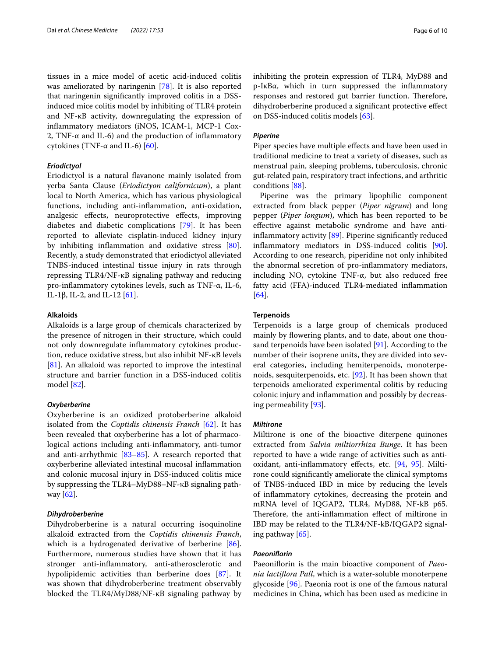tissues in a mice model of acetic acid-induced colitis was ameliorated by naringenin [\[78](#page-8-28)]. It is also reported that naringenin signifcantly improved colitis in a DSSinduced mice colitis model by inhibiting of TLR4 protein and NF-κB activity, downregulating the expression of infammatory mediators (iNOS, ICAM-1, MCP-1 Cox-2, TNF- $\alpha$  and IL-6) and the production of inflammatory cytokines (TNF-α and IL-6) [[60](#page-8-8)].

## *Eriodictyol*

Eriodictyol is a natural favanone mainly isolated from yerba Santa Clause (*Eriodictyon californicum*), a plant local to North America, which has various physiological functions, including anti-infammation, anti-oxidation, analgesic efects, neuroprotective efects, improving diabetes and diabetic complications [[79](#page-8-29)]. It has been reported to alleviate cisplatin-induced kidney injury by inhibiting infammation and oxidative stress [\[80](#page-8-30)]. Recently, a study demonstrated that eriodictyol alleviated TNBS-induced intestinal tissue injury in rats through repressing TLR4/NF-κB signaling pathway and reducing pro-infammatory cytokines levels, such as TNF-α, IL-6, IL-1β, IL-2, and IL-12  $[61]$  $[61]$ .

#### **Alkaloids**

Alkaloids is a large group of chemicals characterized by the presence of nitrogen in their structure, which could not only downregulate infammatory cytokines production, reduce oxidative stress, but also inhibit NF-κB levels [[81\]](#page-8-31). An alkaloid was reported to improve the intestinal structure and barrier function in a DSS-induced colitis model [[82\]](#page-8-32).

#### *Oxyberberine*

Oxyberberine is an oxidized protoberberine alkaloid isolated from the *Coptidis chinensis Franch* [\[62](#page-8-10)]. It has been revealed that oxyberberine has a lot of pharmacological actions including anti-infammatory, anti-tumor and anti-arrhythmic [[83–](#page-8-33)[85](#page-8-34)]. A research reported that oxyberberine alleviated intestinal mucosal infammation and colonic mucosal injury in DSS-induced colitis mice by suppressing the TLR4–MyD88–NF-κB signaling pathway [\[62\]](#page-8-10).

#### *Dihydroberberine*

Dihydroberberine is a natural occurring isoquinoline alkaloid extracted from the *Coptidis chinensis Franch*, which is a hydrogenated derivative of berberine [\[86](#page-8-35)]. Furthermore, numerous studies have shown that it has stronger anti-infammatory, anti-atherosclerotic and hypolipidemic activities than berberine does [[87\]](#page-8-36). It was shown that dihydroberberine treatment observably blocked the TLR4/MyD88/NF-κB signaling pathway by inhibiting the protein expression of TLR4, MyD88 and p-IκBα, which in turn suppressed the infammatory responses and restored gut barrier function. Therefore, dihydroberberine produced a signifcant protective efect on DSS-induced colitis models [[63\]](#page-8-11).

#### *Piperine*

Piper species have multiple effects and have been used in traditional medicine to treat a variety of diseases, such as menstrual pain, sleeping problems, tuberculosis, chronic gut-related pain, respiratory tract infections, and arthritic conditions [\[88](#page-8-37)].

Piperine was the primary lipophilic component extracted from black pepper (*Piper nigrum*) and long pepper (*Piper longum*), which has been reported to be efective against metabolic syndrome and have anti-inflammatory activity [[89\]](#page-8-38). Piperine significantly reduced infammatory mediators in DSS-induced colitis [\[90](#page-8-39)]. According to one research, piperidine not only inhibited the abnormal secretion of pro-infammatory mediators, including NO, cytokine TNF-α, but also reduced free fatty acid (FFA)-induced TLR4-mediated infammation [[64\]](#page-8-12).

#### **Terpenoids**

Terpenoids is a large group of chemicals produced mainly by flowering plants, and to date, about one thousand terpenoids have been isolated [\[91](#page-8-40)]. According to the number of their isoprene units, they are divided into several categories, including hemiterpenoids, monoterpenoids, sesquiterpenoids, etc. [[92\]](#page-8-41). It has been shown that terpenoids ameliorated experimental colitis by reducing colonic injury and infammation and possibly by decreasing permeability [[93\]](#page-8-42).

#### *Miltirone*

Miltirone is one of the bioactive diterpene quinones extracted from *Salvia miltiorrhiza Bunge*. It has been reported to have a wide range of activities such as antioxidant, anti-infammatory efects, etc. [\[94](#page-8-43), [95\]](#page-9-0). Miltirone could signifcantly ameliorate the clinical symptoms of TNBS-induced IBD in mice by reducing the levels of infammatory cytokines, decreasing the protein and mRNA level of IQGAP2, TLR4, MyD88, NF-kB p65. Therefore, the anti-inflammation effect of miltirone in IBD may be related to the TLR4/NF-kB/IQGAP2 signaling pathway [\[65](#page-8-26)].

#### *Paeoniforin*

Paeoniflorin is the main bioactive component of *Paeonia lactifora Pall*, which is a water-soluble monoterpene glycoside [\[96](#page-9-1)]. Paeonia root is one of the famous natural medicines in China, which has been used as medicine in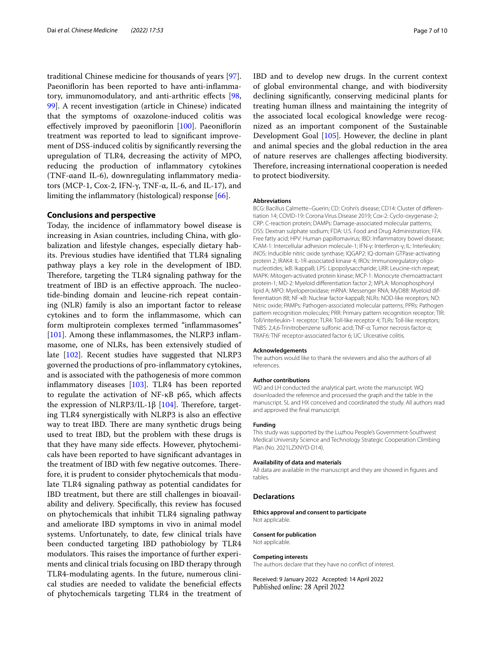traditional Chinese medicine for thousands of years [\[97](#page-9-2)]. Paeoniflorin has been reported to have anti-inflammatory, immunomodulatory, and anti-arthritic efects [\[98](#page-9-3), [99\]](#page-9-4). A recent investigation (article in Chinese) indicated that the symptoms of oxazolone-induced colitis was effectively improved by paeoniflorin [\[100\]](#page-9-5). Paeoniflorin treatment was reported to lead to signifcant improvement of DSS-induced colitis by signifcantly reversing the upregulation of TLR4, decreasing the activity of MPO, reducing the production of infammatory cytokines (TNF-αand IL-6), downregulating infammatory mediators (MCP-1, Cox-2, IFN-γ, TNF-α, IL-6, and IL-17), and limiting the infammatory (histological) response [[66\]](#page-8-27).

#### **Conclusions and perspective**

Today, the incidence of infammatory bowel disease is increasing in Asian countries, including China, with globalization and lifestyle changes, especially dietary habits. Previous studies have identifed that TLR4 signaling pathway plays a key role in the development of IBD. Therefore, targeting the TLR4 signaling pathway for the treatment of IBD is an effective approach. The nucleotide-binding domain and leucine-rich repeat containing (NLR) family is also an important factor to release cytokines and to form the infammasome, which can form multiprotein complexes termed "infammasomes" [[101\]](#page-9-6). Among these inflammasomes, the NLRP3 inflammasome, one of NLRs, has been extensively studied of late [\[102](#page-9-7)]. Recent studies have suggested that NLRP3 governed the productions of pro-infammatory cytokines, and is associated with the pathogenesis of more common infammatory diseases [\[103](#page-9-8)]. TLR4 has been reported to regulate the activation of NF-κB p65, which afects the expression of NLRP3/IL-1β  $[104]$  $[104]$ . Therefore, targeting TLR4 synergistically with NLRP3 is also an efective way to treat IBD. There are many synthetic drugs being used to treat IBD, but the problem with these drugs is that they have many side efects. However, phytochemicals have been reported to have signifcant advantages in the treatment of IBD with few negative outcomes. Therefore, it is prudent to consider phytochemicals that modulate TLR4 signaling pathway as potential candidates for IBD treatment, but there are still challenges in bioavailability and delivery. Specifcally, this review has focused on phytochemicals that inhibit TLR4 signaling pathway and ameliorate IBD symptoms in vivo in animal model systems. Unfortunately, to date, few clinical trials have been conducted targeting IBD pathobiology by TLR4 modulators. This raises the importance of further experiments and clinical trials focusing on IBD therapy through TLR4-modulating agents. In the future, numerous clinical studies are needed to validate the benefcial efects of phytochemicals targeting TLR4 in the treatment of

IBD and to develop new drugs. In the current context of global environmental change, and with biodiversity declining signifcantly, conserving medicinal plants for treating human illness and maintaining the integrity of the associated local ecological knowledge were recognized as an important component of the Sustainable Development Goal [\[105\]](#page-9-10). However, the decline in plant and animal species and the global reduction in the area of nature reserves are challenges afecting biodiversity. Therefore, increasing international cooperation is needed to protect biodiversity.

#### **Abbreviations**

BCG: Bacillus Calmette–Guerin; CD: Crohn's disease; CD14: Cluster of diferentiation 14; COVID-19: Corona Virus Disease 2019; Cox-2: Cyclo-oxygenase-2; CRP: C-reaction protein; DAMPs: Damage-associated molecular patterns; DSS: Dextran sulphate sodium; FDA: U.S. Food and Drug Administration; FFA: Free fatty acid; HPV: Human papillomavirus; IBD: Infammatory bowel disease; ICAM-1: Intercellular adhesion molecule-1; IFN-γ: Interferon-γ; IL: Interleukin; iNOS: Inducible nitric oxide synthase; IQGAP2: IQ-domain GTPase-activating protein 2; IRAK4: IL-1R-associated kinase 4; IROs: Immunoregulatory oligonucleotides; IκB: IkappaB; LPS: Lipopolysaccharide; LRR: Leucine-rich repeat; MAPK: Mitogen-activated protein kinase; MCP-1: Monocyte chemoattractant protein-1; MD-2: Myeloid diferentiation factor 2; MPLA: Monophosphoryl lipid A; MPO: Myeloperoxidase; mRNA: Messenger RNA; MyD88: Myeloid differentiation 88; NF-κB: Nuclear factor-kappaB; NLRs: NOD-like receptors; NO: Nitric oxide; PAMPs: Pathogen-associated molecular patterns; PPRs: Pathogen pattern recognition molecules; PRR: Primary pattern recognition receptor; TIR: Toll/interleukin-1 receptor; TLR4: Toll-like receptor 4; TLRs: Toll-like receptors; TNBS: 2,4,6-Trinitrobenzene sulfonic acid; TNF-α: Tumor necrosis factor-α; TRAF6: TNF receptor-associated factor 6; UC: Ulcerative colitis.

#### **Acknowledgements**

The authors would like to thank the reviewers and also the authors of all references.

#### **Author contributions**

WD and LH conducted the analytical part, wrote the manuscript. WQ downloaded the reference and processed the graph and the table in the manuscript. SL and HX conceived and coordinated the study. All authors read and approved the fnal manuscript.

#### **Funding**

This study was supported by the Luzhou People's Government-Southwest Medical University Science and Technology Strategic Cooperation Climbing Plan (No. 2021LZXNYD-D14).

#### **Availability of data and materials**

All data are available in the manuscript and they are showed in fgures and tables.

#### **Declarations**

**Ethics approval and consent to participate** Not applicable.

## **Consent for publication**

Not applicable.

#### **Competing interests**

The authors declare that they have no confict of interest.

Received: 9 January 2022 Accepted: 14 April 2022Published online: 28 April 2022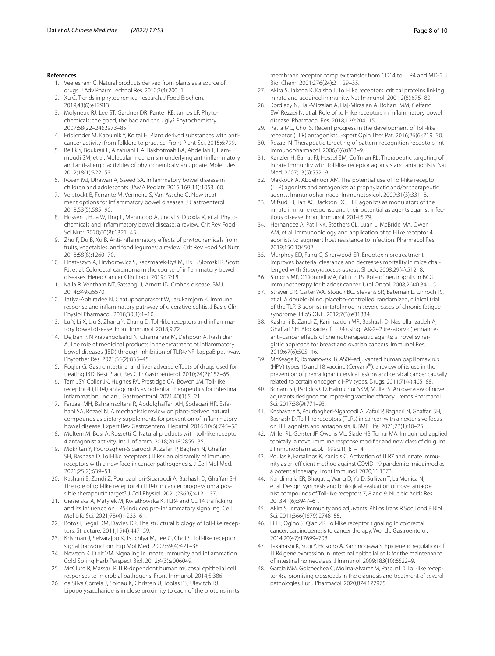- <span id="page-7-0"></span>1. Veeresham C. Natural products derived from plants as a source of drugs. J Adv Pharm Technol Res. 2012;3(4):200–1.
- <span id="page-7-1"></span>2. Xu C. Trends in phytochemical research. J Food Biochem. 2019;43(6):e12913.
- <span id="page-7-2"></span>3. Molyneux RJ, Lee ST, Gardner DR, Panter KE, James LF. Phytochemicals: the good, the bad and the ugly? Phytochemistry. 2007;68(22–24):2973–85.
- <span id="page-7-3"></span>4. Fridlender M, Kapulnik Y, Koltai H. Plant derived substances with anticancer activity: from folklore to practice. Front Plant Sci. 2015;6:799.
- <span id="page-7-4"></span>5. Bellik Y, Boukraâ L, Alzahrani HA, Bakhotmah BA, Abdellah F, Hammoudi SM, et al. Molecular mechanism underlying anti-infammatory and anti-allergic activities of phytochemicals: an update. Molecules. 2012;18(1):322–53.
- <span id="page-7-5"></span>6. Rosen MJ, Dhawan A, Saeed SA. Infammatory bowel disease in children and adolescents. JAMA Pediatr. 2015;169(11):1053–60.
- <span id="page-7-6"></span>7. Verstockt B, Ferrante M, Vermeire S, Van Assche G. New treatment options for infammatory bowel diseases. J Gastroenterol. 2018;53(5):585–90.
- <span id="page-7-7"></span>8. Hossen I, Hua W, Ting L, Mehmood A, Jingyi S, Duoxia X, et al. Phytochemicals and infammatory bowel disease: a review. Crit Rev Food Sci Nutr. 2020;60(8):1321–45.
- <span id="page-7-8"></span>9. Zhu F, Du B, Xu B. Anti-infammatory efects of phytochemicals from fruits, vegetables, and food legumes: a review. Crit Rev Food Sci Nutr. 2018;58(8):1260–70.
- <span id="page-7-9"></span>Hnatyszyn A, Hryhorowicz S, Kaczmarek-Ryś M, Lis E, Słomski R, Scott RJ, et al. Colorectal carcinoma in the course of infammatory bowel diseases. Hered Cancer Clin Pract. 2019;17:18.
- <span id="page-7-10"></span>11. Kalla R, Ventham NT, Satsangi J, Arnott ID. Crohn's disease. BMJ. 2014;349:g6670.
- <span id="page-7-11"></span>12. Tatiya-Aphiradee N, Chatuphonprasert W, Jarukamjorn K. Immune response and infammatory pathway of ulcerative colitis. J Basic Clin Physiol Pharmacol. 2018;30(1):1–10.
- <span id="page-7-12"></span>13. Lu Y, Li X, Liu S, Zhang Y, Zhang D. Toll-like receptors and infammatory bowel disease. Front Immunol. 2018;9:72.
- <span id="page-7-13"></span>14. Dejban P, Nikravangolsefd N, Chamanara M, Dehpour A, Rashidian A. The role of medicinal products in the treatment of infammatory bowel diseases (IBD) through inhibition of TLR4/NF-kappaB pathway. Phytother Res. 2021;35(2):835–45.
- <span id="page-7-14"></span>15. Rogler G. Gastrointestinal and liver adverse efects of drugs used for treating IBD. Best Pract Res Clin Gastroenterol. 2010;24(2):157–65.
- <span id="page-7-15"></span>16. Tam JSY, Coller JK, Hughes PA, Prestidge CA, Bowen JM. Toll-like receptor 4 (TLR4) antagonists as potential therapeutics for intestinal infammation. Indian J Gastroenterol. 2021;40(1):5–21.
- <span id="page-7-16"></span>17. Farzaei MH, Bahramsoltani R, Abdolghaffari AH, Sodagari HR, Esfahani SA, Rezaei N. A mechanistic review on plant-derived natural compounds as dietary supplements for prevention of infammatory bowel disease. Expert Rev Gastroenterol Hepatol. 2016;10(6):745–58.
- <span id="page-7-17"></span>18. Molteni M, Bosi A, Rossetti C. Natural products with toll-like receptor 4 antagonist activity. Int J Infamm. 2018;2018:2859135.
- <span id="page-7-18"></span>19. Mokhtari Y, Pourbagheri-Sigaroodi A, Zafari P, Bagheri N, Ghafari SH, Bashash D. Toll-like receptors (TLRs): an old family of immune receptors with a new face in cancer pathogenesis. J Cell Mol Med. 2021;25(2):639–51.
- <span id="page-7-19"></span>20. Kashani B, Zandi Z, Pourbagheri-Sigaroodi A, Bashash D, Ghafari SH. The role of toll-like receptor 4 (TLR4) in cancer progression: a possible therapeutic target? J Cell Physiol. 2021;236(6):4121–37.
- <span id="page-7-20"></span>21. Ciesielska A, Matyjek M, Kwiatkowska K. TLR4 and CD14 trafficking and its infuence on LPS-induced pro-infammatory signaling. Cell Mol Life Sci. 2021;78(4):1233–61.
- <span id="page-7-21"></span>22. Botos I, Segal DM, Davies DR. The structural biology of Toll-like receptors. Structure. 2011;19(4):447–59.
- <span id="page-7-22"></span>23. Krishnan J, Selvarajoo K, Tsuchiya M, Lee G, Choi S. Toll-like receptor signal transduction. Exp Mol Med. 2007;39(4):421–38.
- <span id="page-7-23"></span>24. Newton K, Dixit VM. Signaling in innate immunity and infammation. Cold Spring Harb Perspect Biol. 2012;4(3):a006049.
- <span id="page-7-24"></span>25. McClure R, Massari P. TLR-dependent human mucosal epithelial cell responses to microbial pathogens. Front Immunol. 2014;5:386.
- <span id="page-7-25"></span>26. da Silva Correia J, Soldau K, Christen U, Tobias PS, Ulevitch RJ. Lipopolysaccharide is in close proximity to each of the proteins in its

membrane receptor complex transfer from CD14 to TLR4 and MD-2. J Biol Chem. 2001;276(24):21129–35.

- <span id="page-7-26"></span>27. Akira S, Takeda K, Kaisho T. Toll-like receptors: critical proteins linking innate and acquired immunity. Nat Immunol. 2001;2(8):675–80.
- <span id="page-7-27"></span>28. Kordjazy N, Haj-Mirzaian A, Haj-Mirzaian A, Rohani MM, Gelfand EW, Rezaei N, et al. Role of toll-like receptors in infammatory bowel disease. Pharmacol Res. 2018;129:204–15.
- <span id="page-7-28"></span>29. Patra MC, Choi S. Recent progress in the development of Toll-like receptor (TLR) antagonists. Expert Opin Ther Pat. 2016;26(6):719–30.
- <span id="page-7-29"></span>30. Rezaei N. Therapeutic targeting of pattern-recognition receptors. Int Immunopharmacol. 2006;6(6):863–9.
- <span id="page-7-30"></span>31. Kanzler H, Barrat FJ, Hessel EM, Cofman RL. Therapeutic targeting of innate immunity with Toll-like receptor agonists and antagonists. Nat Med. 2007;13(5):552–9.
- <span id="page-7-31"></span>32. Makkouk A, Abdelnoor AM. The potential use of Toll-like receptor (TLR) agonists and antagonists as prophylactic and/or therapeutic agents. Immunopharmacol Immunotoxicol. 2009;31(3):331–8.
- <span id="page-7-32"></span>33. Mifsud EJ, Tan AC, Jackson DC. TLR agonists as modulators of the innate immune response and their potential as agents against infectious disease. Front Immunol. 2014;5:79.
- <span id="page-7-33"></span>34. Hernandez A, Patil NK, Stothers CL, Luan L, McBride MA, Owen AM, et al. Immunobiology and application of toll-like receptor 4 agonists to augment host resistance to infection. Pharmacol Res. 2019;150:104502.
- <span id="page-7-34"></span>35. Murphey ED, Fang G, Sherwood ER. Endotoxin pretreatment improves bacterial clearance and decreases mortality in mice challenged with *Staphylococcus aureus*. Shock. 2008;29(4):512–8.
- <span id="page-7-38"></span>36. Simons MP, O'Donnell MA, Grifth TS. Role of neutrophils in BCG immunotherapy for bladder cancer. Urol Oncol. 2008;26(4):341–5.
- <span id="page-7-39"></span>37. Strayer DR, Carter WA, Stouch BC, Stevens SR, Bateman L, Cimoch PJ, et al. A double-blind, placebo-controlled, randomized, clinical trial of the TLR-3 agonist rintatolimod in severe cases of chronic fatigue syndrome. PLoS ONE. 2012;7(3):e31334.
- <span id="page-7-40"></span>38. Kashani B, Zandi Z, Karimzadeh MR, Bashash D, Nasrollahzadeh A, Ghafari SH. Blockade of TLR4 using TAK-242 (resatorvid) enhances anti-cancer efects of chemotherapeutic agents: a novel synergistic approach for breast and ovarian cancers. Immunol Res. 2019;67(6):505–16.
- <span id="page-7-41"></span>39. McKeage K, Romanowski B. AS04-adjuvanted human papillomavirus (HPV) types 16 and 18 vaccine (Cervarix®): a review of its use in the prevention of premalignant cervical lesions and cervical cancer causally related to certain oncogenic HPV types. Drugs. 2011;71(4):465–88.
- <span id="page-7-42"></span>Bonam SR, Partidos CD, Halmuthur SKM, Muller S. An overview of novel adjuvants designed for improving vaccine efficacy. Trends Pharmacol Sci. 2017;38(9):771–93.
- <span id="page-7-43"></span>41. Keshavarz A, Pourbagheri-Sigaroodi A, Zafari P, Bagheri N, Ghafari SH, Bashash D. Toll-like receptors (TLRs) in cancer; with an extensive focus on TLR agonists and antagonists. IUBMB Life. 2021;73(1):10–25.
- <span id="page-7-44"></span>42. Miller RL, Gerster JF, Owens ML, Slade HB, Tomai MA. Imiquimod applied topically: a novel immune response modifer and new class of drug. Int J Immunopharmacol. 1999;21(1):1–14.
- <span id="page-7-45"></span>43. Poulas K, Farsalinos K, Zanidis C. Activation of TLR7 and innate immunity as an efficient method against COVID-19 pandemic: imiguimod as a potential therapy. Front Immunol. 2020;11:1373.
- <span id="page-7-46"></span>44. Kandimalla ER, Bhagat L, Wang D, Yu D, Sullivan T, La Monica N, et al. Design, synthesis and biological evaluation of novel antagonist compounds of Toll-like receptors 7, 8 and 9. Nucleic Acids Res. 2013;41(6):3947–61.
- <span id="page-7-35"></span>45. Akira S. Innate immunity and adjuvants. Philos Trans R Soc Lond B Biol Sci. 2011;366(1579):2748–55.
- <span id="page-7-36"></span>46. Li TT, Ogino S, Qian ZR. Toll-like receptor signaling in colorectal cancer: carcinogenesis to cancer therapy. World J Gastroenterol. 2014;20(47):17699–708.
- <span id="page-7-37"></span>47. Takahashi K, Sugi Y, Hosono A, Kaminogawa S. Epigenetic regulation of TLR4 gene expression in intestinal epithelial cells for the maintenance of intestinal homeostasis. J Immunol. 2009;183(10):6522–9.
- Garcia MM, Goicoechea C, Molina-Álvarez M, Pascual D. Toll-like receptor 4: a promising crossroads in the diagnosis and treatment of several pathologies. Eur J Pharmacol. 2020;874:172975.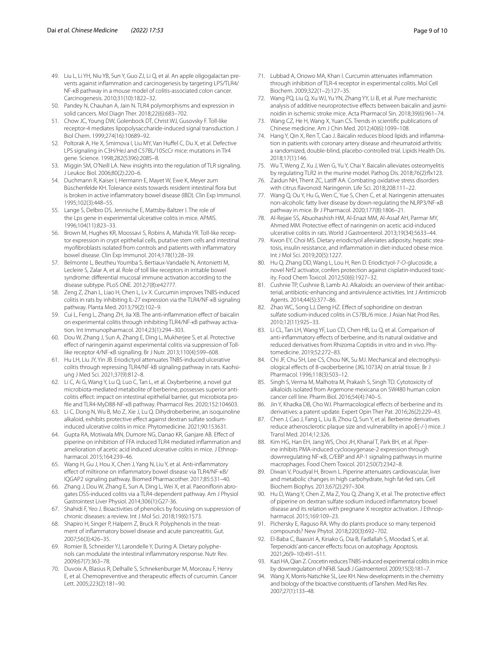- <span id="page-8-0"></span>49. Liu L, Li YH, Niu YB, Sun Y, Guo ZJ, Li Q, et al. An apple oligogalactan prevents against infammation and carcinogenesis by targeting LPS/TLR4/ NF-κB pathway in a mouse model of colitis-associated colon cancer. Carcinogenesis. 2010;31(10):1822–32.
- <span id="page-8-1"></span>50. Pandey N, Chauhan A, Jain N. TLR4 polymorphisms and expression in solid cancers. Mol Diagn Ther. 2018;22(6):683–702.
- <span id="page-8-2"></span>51. Chow JC, Young DW, Golenbock DT, Christ WJ, Gusovsky F. Toll-like receptor-4 mediates lipopolysaccharide-induced signal transduction. J Biol Chem. 1999;274(16):10689–92.
- 52. Poltorak A, He X, Smirnova I, Liu MY, Van Hufel C, Du X, et al. Defective LPS signaling in C3H/HeJ and C57BL/10ScCr mice: mutations in Tlr4 gene. Science. 1998;282(5396):2085–8.
- <span id="page-8-3"></span>53. Miggin SM, O'Neill LA. New insights into the regulation of TLR signaling. J Leukoc Biol. 2006;80(2):220–6.
- <span id="page-8-4"></span>54. Duchmann R, Kaiser I, Hermann E, Mayet W, Ewe K, Meyer zum Büschenfelde KH. Tolerance exists towards resident intestinal flora but is broken in active infammatory bowel disease (IBD). Clin Exp Immunol. 1995;102(3):448–55.
- <span id="page-8-5"></span>55. Lange S, Delbro DS, Jennische E, Mattsby-Baltzer I. The role of the Lps gene in experimental ulcerative colitis in mice. APMIS. 1996;104(11):823–33.
- <span id="page-8-13"></span>56. Brown M, Hughes KR, Moossavi S, Robins A, Mahida YR. Toll-like receptor expression in crypt epithelial cells, putative stem cells and intestinal myofbroblasts isolated from controls and patients with infammatory bowel disease. Clin Exp Immunol. 2014;178(1):28–39.
- <span id="page-8-14"></span>57. Belmonte L, Beutheu Youmba S, Bertiaux-Vandaële N, Antonietti M, Lecleire S, Zalar A, et al. Role of toll like receptors in irritable bowel syndrome: diferential mucosal immune activation according to the disease subtype. PLoS ONE. 2012;7(8):e42777.
- <span id="page-8-6"></span>58. Zeng Z, Zhan L, Liao H, Chen L, Lv X. Curcumin improves TNBS-induced colitis in rats by inhibiting IL-27 expression via the TLR4/NF-κB signaling pathway. Planta Med. 2013;79(2):102–9.
- <span id="page-8-7"></span>59. Cui L, Feng L, Zhang ZH, Jia XB. The anti-infammation efect of baicalin on experimental colitis through inhibiting TLR4/NF-κB pathway activation. Int Immunopharmacol. 2014;23(1):294–303.
- <span id="page-8-8"></span>60. Dou W, Zhang J, Sun A, Zhang E, Ding L, Mukherjee S, et al. Protective efect of naringenin against experimental colitis via suppression of Tolllike receptor 4/NF-κB signalling. Br J Nutr. 2013;110(4):599–608.
- <span id="page-8-9"></span>61. Hu LH, Liu JY, Yin JB. Eriodictyol attenuates TNBS-induced ulcerative colitis through repressing TLR4/NF-kB signaling pathway in rats. Kaohsiung J Med Sci. 2021;37(9):812–8.
- <span id="page-8-10"></span>62. Li C, Ai G, Wang Y, Lu Q, Luo C, Tan L, et al. Oxyberberine, a novel gut microbiota-mediated metabolite of berberine, possesses superior anticolitis efect: impact on intestinal epithelial barrier, gut microbiota profle and TLR4-MyD88-NF-κB pathway. Pharmacol Res. 2020;152:104603.
- <span id="page-8-11"></span>63. Li C, Dong N, Wu B, Mo Z, Xie J, Lu Q. Dihydroberberine, an isoquinoline alkaloid, exhibits protective effect against dextran sulfate sodiuminduced ulcerative colitis in mice. Phytomedicine. 2021;90:153631.
- <span id="page-8-12"></span>64. Gupta RA, Motiwala MN, Dumore NG, Danao KR, Ganjare AB. Efect of piperine on inhibition of FFA induced TLR4 mediated infammation and amelioration of acetic acid induced ulcerative colitis in mice. J Ethnopharmacol. 2015;164:239–46.
- <span id="page-8-26"></span>65. Wang H, Gu J, Hou X, Chen J, Yang N, Liu Y, et al. Anti-infammatory efect of miltirone on infammatory bowel disease via TLR4/NF-κB/ IQGAP2 signaling pathway. Biomed Pharmacother. 2017;85:531–40.
- <span id="page-8-27"></span>66. Zhang J, Dou W, Zhang E, Sun A, Ding L, Wei X, et al. Paeoniforin abrogates DSS-induced colitis via a TLR4-dependent pathway. Am J Physiol Gastrointest Liver Physiol. 2014;306(1):G27-36.
- <span id="page-8-15"></span>67. Shahidi F, Yeo J. Bioactivities of phenolics by focusing on suppression of chronic diseases: a review. Int J Mol Sci. 2018;19(6):1573.
- <span id="page-8-16"></span>68. Shapiro H, Singer P, Halpern Z, Bruck R. Polyphenols in the treatment of infammatory bowel disease and acute pancreatitis. Gut. 2007;56(3):426–35.
- <span id="page-8-17"></span>69. Romier B, Schneider YJ, Larondelle Y, During A. Dietary polyphenols can modulate the intestinal infammatory response. Nutr Rev. 2009;67(7):363–78.
- <span id="page-8-18"></span>70. Duvoix A, Blasius R, Delhalle S, Schnekenburger M, Morceau F, Henry E, et al. Chemopreventive and therapeutic efects of curcumin. Cancer Lett. 2005;223(2):181–90.
- <span id="page-8-19"></span>71. Lubbad A, Oriowo MA, Khan I. Curcumin attenuates infammation through inhibition of TLR-4 receptor in experimental colitis. Mol Cell Biochem. 2009;322(1–2):127–35.
- <span id="page-8-20"></span>72. Wang PQ, Liu Q, Xu WJ, Yu YN, Zhang YY, Li B, et al. Pure mechanistic analysis of additive neuroprotective efects between baicalin and jasminoidin in ischemic stroke mice. Acta Pharmacol Sin. 2018;39(6):961–74.
- <span id="page-8-21"></span>73. Wang CZ, He H, Wang X, Yuan CS. Trends in scientifc publications of Chinese medicine. Am J Chin Med. 2012;40(6):1099–108.
- <span id="page-8-22"></span>74. Hang Y, Qin X, Ren T, Cao J. Baicalin reduces blood lipids and infammation in patients with coronary artery disease and rheumatoid arthritis: a randomized, double-blind, placebo-controlled trial. Lipids Health Dis. 2018;17(1):146.
- <span id="page-8-23"></span>75. Wu T, Weng Z, Xu J, Wen G, Yu Y, Chai Y. Baicalin alleviates osteomyelitis by regulating TLR2 in the murine model. Pathog Dis. 2018;76(2):flx123.
- <span id="page-8-24"></span>76. Zaidun NH, Thent ZC, Latif AA. Combating oxidative stress disorders with citrus favonoid: Naringenin. Life Sci. 2018;208:111–22.
- <span id="page-8-25"></span>77. Wang Q, Ou Y, Hu G, Wen C, Yue S, Chen C, et al. Naringenin attenuates non-alcoholic fatty liver disease by down-regulating the NLRP3/NF-κB pathway in mice. Br J Pharmacol. 2020;177(8):1806–21.
- <span id="page-8-28"></span>78. Al-Rejaie SS, Abuohashish HM, Al-Enazi MM, Al-Assaf AH, Parmar MY, Ahmed MM. Protective efect of naringenin on acetic acid-induced ulcerative colitis in rats. World J Gastroenterol. 2013;19(34):5633–44.
- <span id="page-8-29"></span>79. Kwon EY, Choi MS. Dietary eriodictyol alleviates adiposity, hepatic steatosis, insulin resistance, and infammation in diet-induced obese mice. Int J Mol Sci. 2019;20(5):1227.
- <span id="page-8-30"></span>80. Hu Q, Zhang DD, Wang L, Lou H, Ren D. Eriodictyol-7-*O*-glucoside, a novel Nrf2 activator, confers protection against cisplatin-induced toxicity. Food Chem Toxicol. 2012;50(6):1927–32.
- <span id="page-8-31"></span>81. Cushnie TP, Cushnie B, Lamb AJ. Alkaloids: an overview of their antibacterial, antibiotic-enhancing and antivirulence activities. Int J Antimicrob Agents. 2014;44(5):377–86.
- <span id="page-8-32"></span>82. Zhao WC, Song LJ, Deng HZ. Effect of sophoridine on dextran sulfate sodium-induced colitis in C57BL/6 mice. J Asian Nat Prod Res. 2010;12(11):925–33.
- <span id="page-8-33"></span>83. Li CL, Tan LH, Wang YF, Luo CD, Chen HB, Lu Q, et al. Comparison of anti-infammatory efects of berberine, and its natural oxidative and reduced derivatives from Rhizoma Coptidis in vitro and in vivo. Phytomedicine. 2019;52:272–83.
- 84. Chi JF, Chu SH, Lee CS, Chou NK, Su MJ. Mechanical and electrophysiological efects of 8-oxoberberine (JKL1073A) on atrial tissue. Br J Pharmacol. 1996;118(3):503–12.
- <span id="page-8-34"></span>85. Singh S, Verma M, Malhotra M, Prakash S, Singh TD. Cytotoxicity of alkaloids isolated from Argemone mexicana on SW480 human colon cancer cell line. Pharm Biol. 2016;54(4):740–5.
- <span id="page-8-35"></span>86. Jin Y, Khadka DB, Cho WJ. Pharmacological effects of berberine and its derivatives: a patent update. Expert Opin Ther Pat. 2016;26(2):229–43.
- <span id="page-8-36"></span>Chen J, Cao J, Fang L, Liu B, Zhou Q, Sun Y, et al. Berberine derivatives reduce atherosclerotic plaque size and vulnerability in apoE(-/-) mice. J Transl Med. 2014;12:326.
- <span id="page-8-37"></span>88. Kim HG, Han EH, Jang WS, Choi JH, Khanal T, Park BH, et al. Piperine inhibits PMA-induced cyclooxygenase-2 expression through downregulating NF-κB, C/EBP and AP-1 signaling pathways in murine macrophages. Food Chem Toxicol. 2012;50(7):2342–8.
- <span id="page-8-38"></span>89. Diwan V, Poudyal H, Brown L. Piperine attenuates cardiovascular, liver and metabolic changes in high carbohydrate, high fat-fed rats. Cell Biochem Biophys. 2013;67(2):297–304.
- <span id="page-8-39"></span>Hu D, Wang Y, Chen Z, Ma Z, You Q, Zhang X, et al. The protective effect of piperine on dextran sulfate sodium induced infammatory bowel disease and its relation with pregnane X receptor activation. J Ethnopharmacol. 2015;169:109–23.
- <span id="page-8-40"></span>91. Pichersky E, Raguso RA. Why do plants produce so many terpenoid compounds? New Phytol. 2018;220(3):692–702.
- <span id="page-8-41"></span>92. El-Baba C, Baassiri A, Kiriako G, Dia B, Fadlallah S, Moodad S, et al. Terpenoids' anti-cancer efects: focus on autophagy. Apoptosis. 2021;26(9–10):491–511.
- <span id="page-8-42"></span>93. Kazi HA, Qian Z. Crocetin reduces TNBS-induced experimental colitis in mice by downregulation of NFkB. Saudi J Gastroenterol. 2009;15(3):181–7.
- <span id="page-8-43"></span>94. Wang X, Morris-Natschke SL, Lee KH. New developments in the chemistry and biology of the bioactive constituents of Tanshen. Med Res Rev. 2007;27(1):133–48.